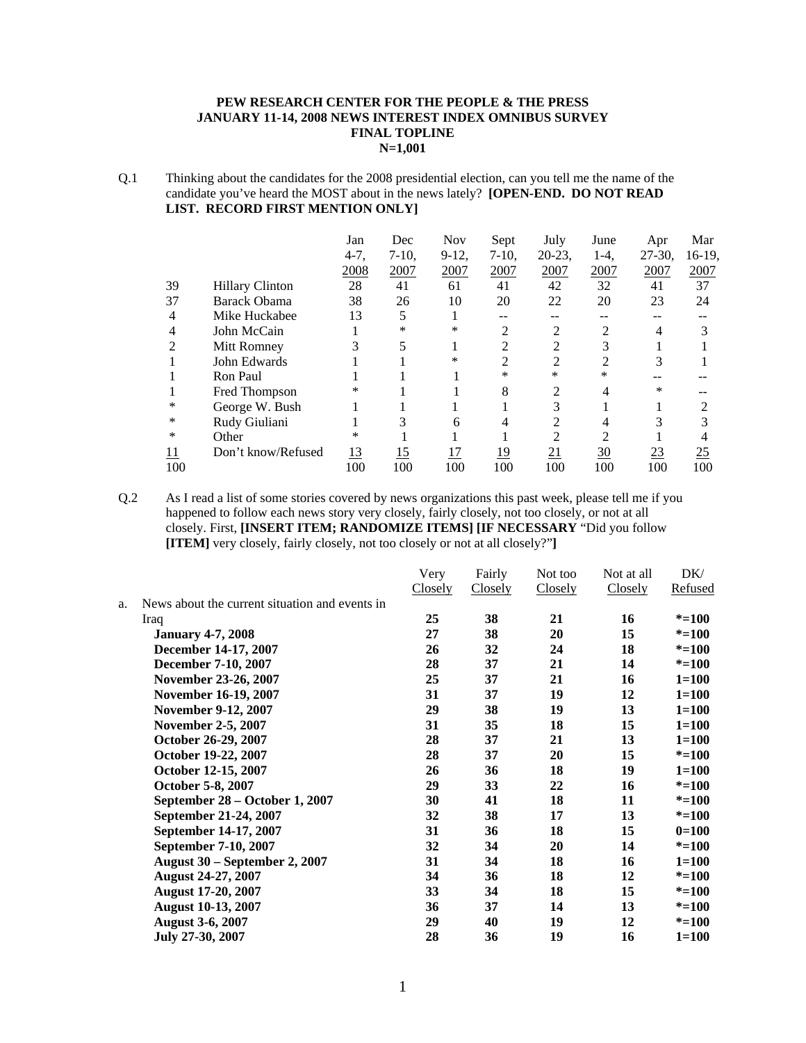### **PEW RESEARCH CENTER FOR THE PEOPLE & THE PRESS JANUARY 11-14, 2008 NEWS INTEREST INDEX OMNIBUS SURVEY FINAL TOPLINE N=1,001**

Q.1 Thinking about the candidates for the 2008 presidential election, can you tell me the name of the candidate you've heard the MOST about in the news lately? **[OPEN-END. DO NOT READ LIST. RECORD FIRST MENTION ONLY]**

|            |                        | Jan       | Dec        | <b>Nov</b> | Sept       | July           | June            | Apr       | Mar    |
|------------|------------------------|-----------|------------|------------|------------|----------------|-----------------|-----------|--------|
|            |                        | $4-7,$    | $7-10$ ,   | $9-12$ ,   | $7-10$ ,   | $20-23$ ,      | $1-4$ ,         | $27-30$ , | 16-19, |
|            |                        | 2008      | 2007       | 2007       | 2007       | 2007           | 2007            | 2007      | 2007   |
| 39         | <b>Hillary Clinton</b> | 28        | 41         | 61         | 41         | 42             | 32              | 41        | 37     |
| 37         | <b>Barack Obama</b>    | 38        | 26         | 10         | 20         | 22             | 20              | 23        | 24     |
| 4          | Mike Huckabee          | 13        | 5          |            |            |                |                 |           |        |
| 4          | John McCain            |           | *          | $\ast$     | 2          | 2              | 2               |           | 3      |
| 2          | Mitt Romney            |           | 5          |            | 2          | 2              | 3               |           |        |
|            | John Edwards           |           |            | ∗          | 2          | 2              | $\overline{2}$  | 3         |        |
|            | Ron Paul               |           |            |            | $\ast$     | $\ast$         | *               |           |        |
|            | Fred Thompson          | $\ast$    |            |            | 8          | 2              | 4               | $\ast$    |        |
| ∗          | George W. Bush         |           |            |            |            | 3              |                 |           |        |
| $\ast$     | Rudy Giuliani          |           |            | 6          |            | 2              | 4               |           |        |
| ∗          | Other                  | ∗         |            |            |            | $\overline{c}$ | $\overline{c}$  |           |        |
| <u> 11</u> | Don't know/Refused     | <u>13</u> | <u> 15</u> | 17         | <u> 19</u> | 21             | $\overline{30}$ | <u>23</u> | 25     |
| 100        |                        | 100       | 100        | 100        | 100        | 100            | 100             | 100       | 100    |

Q.2 As I read a list of some stories covered by news organizations this past week, please tell me if you happened to follow each news story very closely, fairly closely, not too closely, or not at all closely. First, **[INSERT ITEM; RANDOMIZE ITEMS] [IF NECESSARY** "Did you follow **[ITEM]** very closely, fairly closely, not too closely or not at all closely?"**]** 

|    |                                                | Very           | Fairly  | Not too | Not at all | DK/       |
|----|------------------------------------------------|----------------|---------|---------|------------|-----------|
|    |                                                | <b>Closely</b> | Closely | Closely | Closely    | Refused   |
| a. | News about the current situation and events in |                |         |         |            |           |
|    | Iraq                                           | 25             | 38      | 21      | 16         | $* = 100$ |
|    | <b>January 4-7, 2008</b>                       | 27             | 38      | 20      | 15         | $* = 100$ |
|    | December 14-17, 2007                           | 26             | 32      | 24      | 18         | $* = 100$ |
|    | December 7-10, 2007                            | 28             | 37      | 21      | 14         | $* = 100$ |
|    | November 23-26, 2007                           | 25             | 37      | 21      | 16         | $1 = 100$ |
|    | November 16-19, 2007                           | 31             | 37      | 19      | 12         | $1 = 100$ |
|    | November 9-12, 2007                            | 29             | 38      | 19      | 13         | $1 = 100$ |
|    | <b>November 2-5, 2007</b>                      | 31             | 35      | 18      | 15         | $1 = 100$ |
|    | October 26-29, 2007                            | 28             | 37      | 21      | 13         | $1 = 100$ |
|    | October 19-22, 2007                            | 28             | 37      | 20      | 15         | $* = 100$ |
|    | October 12-15, 2007                            | 26             | 36      | 18      | 19         | $1 = 100$ |
|    | October 5-8, 2007                              | 29             | 33      | 22      | 16         | $* = 100$ |
|    | September 28 – October 1, 2007                 | 30             | 41      | 18      | 11         | $* = 100$ |
|    | September 21-24, 2007                          | 32             | 38      | 17      | 13         | $* = 100$ |
|    | September 14-17, 2007                          | 31             | 36      | 18      | 15         | $0=100$   |
|    | September 7-10, 2007                           | 32             | 34      | 20      | 14         | $* = 100$ |
|    | <b>August 30 – September 2, 2007</b>           | 31             | 34      | 18      | 16         | $1 = 100$ |
|    | August 24-27, 2007                             | 34             | 36      | 18      | 12         | $* = 100$ |
|    | August 17-20, 2007                             | 33             | 34      | 18      | 15         | $* = 100$ |
|    | <b>August 10-13, 2007</b>                      | 36             | 37      | 14      | 13         | $* = 100$ |
|    | <b>August 3-6, 2007</b>                        | 29             | 40      | 19      | 12         | $* = 100$ |
|    | July 27-30, 2007                               | 28             | 36      | 19      | 16         | $1 = 100$ |
|    |                                                |                |         |         |            |           |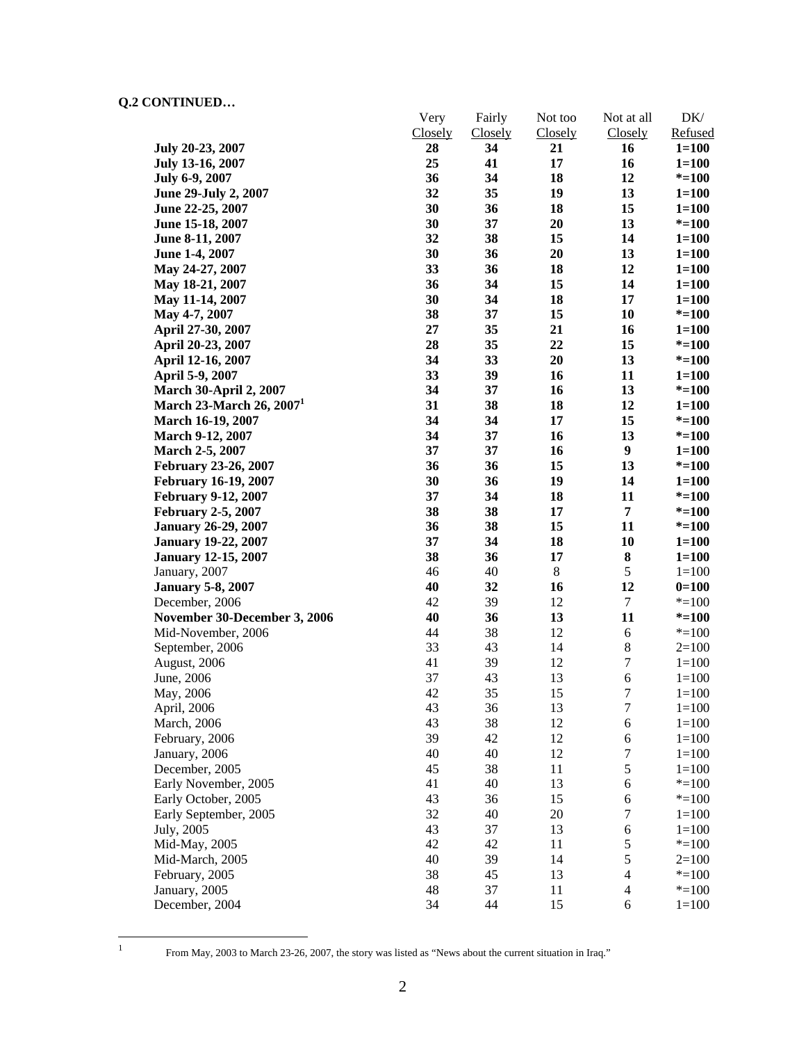|                               | Very    | Fairly         | Not too | Not at all       | DK/       |
|-------------------------------|---------|----------------|---------|------------------|-----------|
|                               | Closely | <b>Closely</b> | Closely | Closely          | Refused   |
| July 20-23, 2007              | 28      | 34             | 21      | 16               | $1 = 100$ |
| July 13-16, 2007              | 25      | 41             | 17      | 16               | $1 = 100$ |
| July 6-9, 2007                | 36      | 34             | 18      | 12               | $* = 100$ |
| June 29-July 2, 2007          | 32      | 35             | 19      | 13               | $1 = 100$ |
| June 22-25, 2007              | 30      | 36             | 18      | 15               | $1 = 100$ |
| June 15-18, 2007              | 30      | 37             | 20      | 13               | $* = 100$ |
| June 8-11, 2007               | 32      | 38             | 15      | 14               | $1 = 100$ |
| June 1-4, 2007                | 30      | 36             | 20      | 13               | $1 = 100$ |
| May 24-27, 2007               | 33      | 36             | 18      | 12               | $1 = 100$ |
| May 18-21, 2007               | 36      | 34             | 15      | 14               | $1 = 100$ |
| May 11-14, 2007               | 30      | 34             | 18      | 17               | $1 = 100$ |
| May 4-7, 2007                 | 38      | 37             | 15      | 10               | $* = 100$ |
| April 27-30, 2007             | 27      | 35             | 21      | 16               | $1 = 100$ |
| April 20-23, 2007             | 28      | 35             | 22      | 15               | $* = 100$ |
| April 12-16, 2007             | 34      | 33             | 20      | 13               | $* = 100$ |
| April 5-9, 2007               | 33      | 39             | 16      | 11               | $1 = 100$ |
| <b>March 30-April 2, 2007</b> | 34      | 37             | 16      | 13               | $* = 100$ |
| March 23-March 26, $20071$    | 31      | 38             | 18      | 12               | $1 = 100$ |
| <b>March 16-19, 2007</b>      | 34      | 34             | 17      | 15               | $* = 100$ |
| <b>March 9-12, 2007</b>       | 34      | 37             | 16      | 13               | $* = 100$ |
| March 2-5, 2007               | 37      | 37             | 16      | $\boldsymbol{9}$ | $1 = 100$ |
| <b>February 23-26, 2007</b>   | 36      | 36             | 15      | 13               | $* = 100$ |
| <b>February 16-19, 2007</b>   | 30      | 36             | 19      | 14               | $1 = 100$ |
| <b>February 9-12, 2007</b>    | 37      | 34             | 18      | 11               | $* = 100$ |
| <b>February 2-5, 2007</b>     | 38      | 38             | 17      | $\overline{7}$   | $* = 100$ |
| <b>January 26-29, 2007</b>    | 36      | 38             | 15      | 11               | $* = 100$ |
| <b>January 19-22, 2007</b>    | 37      | 34             | 18      | 10               | $1 = 100$ |
| <b>January 12-15, 2007</b>    | 38      | 36             | 17      | ${\bf 8}$        | $1 = 100$ |
| January, 2007                 | 46      | 40             | $8\,$   | $\sqrt{5}$       | $1 = 100$ |
| <b>January 5-8, 2007</b>      | 40      | 32             | 16      | 12               | $0=100$   |
| December, 2006                | 42      | 39             | 12      | $\tau$           | $* = 100$ |
| November 30-December 3, 2006  | 40      | 36             | 13      | 11               | $* = 100$ |
| Mid-November, 2006            | 44      | 38             | 12      | 6                | $* = 100$ |
| September, 2006               | 33      | 43             | 14      | $\,8$            | $2=100$   |
| August, 2006                  | 41      | 39             | 12      | $\boldsymbol{7}$ | $1 = 100$ |
| June, 2006                    | 37      | 43             | 13      | 6                | $1 = 100$ |
| May, 2006                     | 42      | 35             | 15      | $\overline{7}$   | $1 = 100$ |
| April, 2006                   | 43      | 36             | 13      | $\tau$           | $1 = 100$ |
| March, 2006                   | 43      | 38             | 12      | $\sqrt{6}$       | $1 = 100$ |
| February, 2006                | 39      | 42             | 12      | $\sqrt{6}$       | $1 = 100$ |
| January, 2006                 | 40      | 40             | 12      | $\tau$           | $1 = 100$ |
| December, 2005                | 45      | 38             | 11      | $\sqrt{5}$       | $1 = 100$ |
| Early November, 2005          | 41      | 40             | 13      | $\boldsymbol{6}$ | $* = 100$ |
| Early October, 2005           | 43      | 36             | 15      | $\sqrt{6}$       | $* = 100$ |
| Early September, 2005         | 32      | 40             | 20      | $\tau$           | $1 = 100$ |
| July, 2005                    | 43      | 37             | 13      | $\sqrt{6}$       | $1 = 100$ |
| Mid-May, 2005                 | 42      | 42             | 11      | $\sqrt{5}$       | $* = 100$ |
| Mid-March, 2005               | 40      | 39             | 14      | $\sqrt{5}$       | $2=100$   |
| February, 2005                | 38      | 45             | 13      | $\overline{4}$   | $* = 100$ |
| January, 2005                 | 48      | 37             | 11      | $\overline{4}$   | $* = 100$ |
| December, 2004                | 34      | 44             | 15      | $\sqrt{6}$       | $1 = 100$ |

 $\frac{1}{1}$ 

From May, 2003 to March 23-26, 2007, the story was listed as "News about the current situation in Iraq."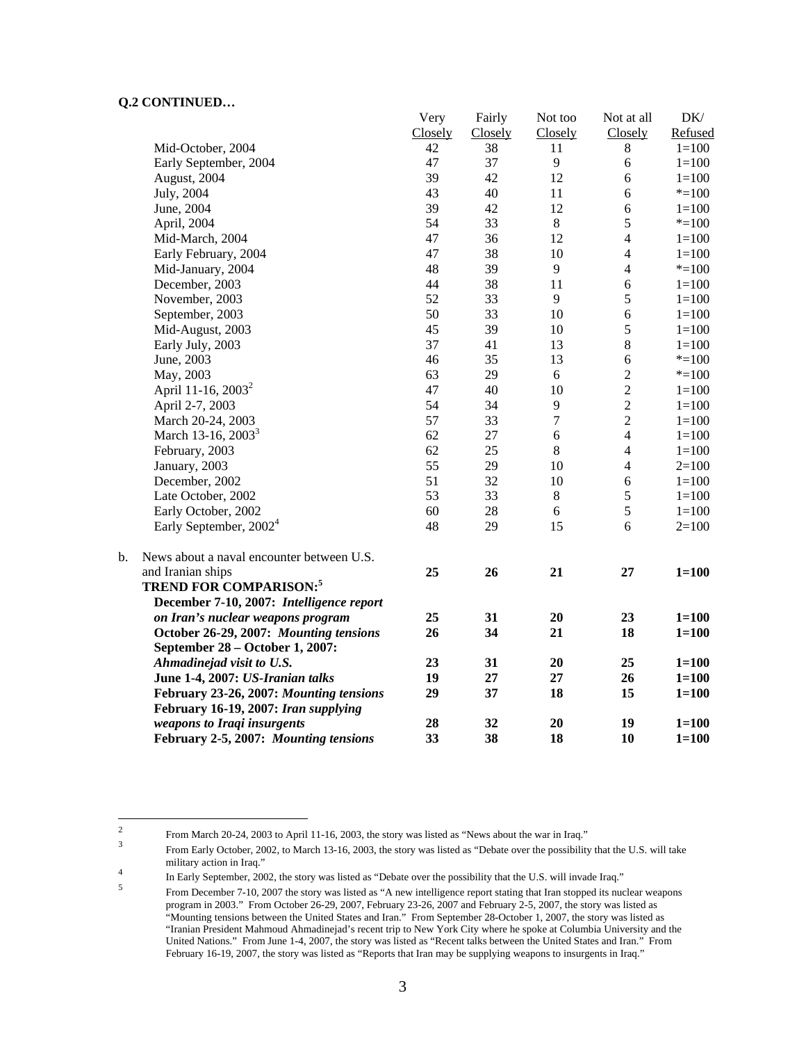|    |                                           | Very    | Fairly  | Not too        | Not at all     | DK/       |
|----|-------------------------------------------|---------|---------|----------------|----------------|-----------|
|    |                                           | Closely | Closely | Closely        | Closely        | Refused   |
|    | Mid-October, 2004                         | 42      | 38      | 11             | $\,8\,$        | $1 = 100$ |
|    | Early September, 2004                     | 47      | 37      | $\overline{9}$ | 6              | $1 = 100$ |
|    | August, 2004                              | 39      | 42      | 12             | 6              | $1 = 100$ |
|    | July, 2004                                | 43      | 40      | 11             | 6              | $*=100$   |
|    | June, 2004                                | 39      | 42      | 12             | 6              | $1 = 100$ |
|    | April, 2004                               | 54      | 33      | $8\,$          | 5              | $*=100$   |
|    | Mid-March, 2004                           | 47      | 36      | 12             | $\overline{4}$ | $1 = 100$ |
|    | Early February, 2004                      | 47      | 38      | 10             | $\overline{4}$ | $1 = 100$ |
|    | Mid-January, 2004                         | 48      | 39      | 9              | $\overline{4}$ | $*=100$   |
|    | December, 2003                            | 44      | 38      | 11             | 6              | $1 = 100$ |
|    | November, 2003                            | 52      | 33      | 9              | 5              | $1 = 100$ |
|    | September, 2003                           | 50      | 33      | 10             | $\sqrt{6}$     | $1 = 100$ |
|    | Mid-August, 2003                          | 45      | 39      | 10             | 5              | $1 = 100$ |
|    | Early July, 2003                          | 37      | 41      | 13             | $\,8\,$        | $1 = 100$ |
|    | June, 2003                                | 46      | 35      | 13             | 6              | $*=100$   |
|    | May, 2003                                 | 63      | 29      | 6              | $\overline{2}$ | $* = 100$ |
|    | April 11-16, 2003 <sup>2</sup>            | 47      | 40      | 10             | $\overline{2}$ | $1 = 100$ |
|    | April 2-7, 2003                           | 54      | 34      | $\mathbf{9}$   | $\overline{c}$ | $1 = 100$ |
|    | March 20-24, 2003                         | 57      | 33      | 7              | $\overline{2}$ | $1 = 100$ |
|    | March 13-16, 2003 <sup>3</sup>            | 62      | 27      | 6              | $\overline{4}$ | $1 = 100$ |
|    | February, 2003                            | 62      | 25      | 8              | $\overline{4}$ | $1 = 100$ |
|    | January, 2003                             | 55      | 29      | 10             | $\overline{4}$ | $2=100$   |
|    | December, 2002                            | 51      | 32      | 10             | 6              | $1 = 100$ |
|    | Late October, 2002                        | 53      | 33      | $\,8\,$        | $\sqrt{5}$     | $1 = 100$ |
|    | Early October, 2002                       | 60      | 28      | 6              | 5              | $1 = 100$ |
|    | Early September, 2002 <sup>4</sup>        | 48      | 29      | 15             | 6              | $2=100$   |
| b. | News about a naval encounter between U.S. |         |         |                |                |           |
|    | and Iranian ships                         | 25      | 26      | 21             | 27             | $1 = 100$ |
|    | <b>TREND FOR COMPARISON:5</b>             |         |         |                |                |           |
|    | December 7-10, 2007: Intelligence report  |         |         |                |                |           |
|    | on Iran's nuclear weapons program         | 25      | 31      | 20             | 23             | $1 = 100$ |
|    | October 26-29, 2007: Mounting tensions    | 26      | 34      | 21             | 18             | $1 = 100$ |
|    | September 28 - October 1, 2007:           |         |         |                |                |           |
|    | Ahmadinejad visit to U.S.                 | 23      | 31      | 20             | 25             | $1 = 100$ |
|    | June 1-4, 2007: US-Iranian talks          | 19      | 27      | 27             | 26             | $1 = 100$ |
|    | February 23-26, 2007: Mounting tensions   | 29      | 37      | 18             | 15             | $1 = 100$ |
|    | February 16-19, 2007: Iran supplying      |         |         |                |                |           |
|    | weapons to Iraqi insurgents               | 28      | 32      | 20             | 19             | $1 = 100$ |
|    | February 2-5, 2007: Mounting tensions     | 33      | 38      | 18             | 10             | $1 = 100$ |

Very

 $\mathbf{F}$  is a

 $\mathbf{D}$ 

 $\frac{1}{2}$ From March 20-24, 2003 to April 11-16, 2003, the story was listed as "News about the war in Iraq."  $\frac{3}{2}$ 

From Early October, 2002, to March 13-16, 2003, the story was listed as "Debate over the possibility that the U.S. will take military action in Iraq."

In Early September, 2002, the story was listed as "Debate over the possibility that the U.S. will invade Iraq."

From December 7-10, 2007 the story was listed as "A new intelligence report stating that Iran stopped its nuclear weapons program in 2003." From October 26-29, 2007, February 23-26, 2007 and February 2-5, 2007, the story was listed as "Mounting tensions between the United States and Iran." From September 28-October 1, 2007, the story was listed as "Iranian President Mahmoud Ahmadinejad's recent trip to New York City where he spoke at Columbia University and the United Nations." From June 1-4, 2007, the story was listed as "Recent talks between the United States and Iran." From February 16-19, 2007, the story was listed as "Reports that Iran may be supplying weapons to insurgents in Iraq."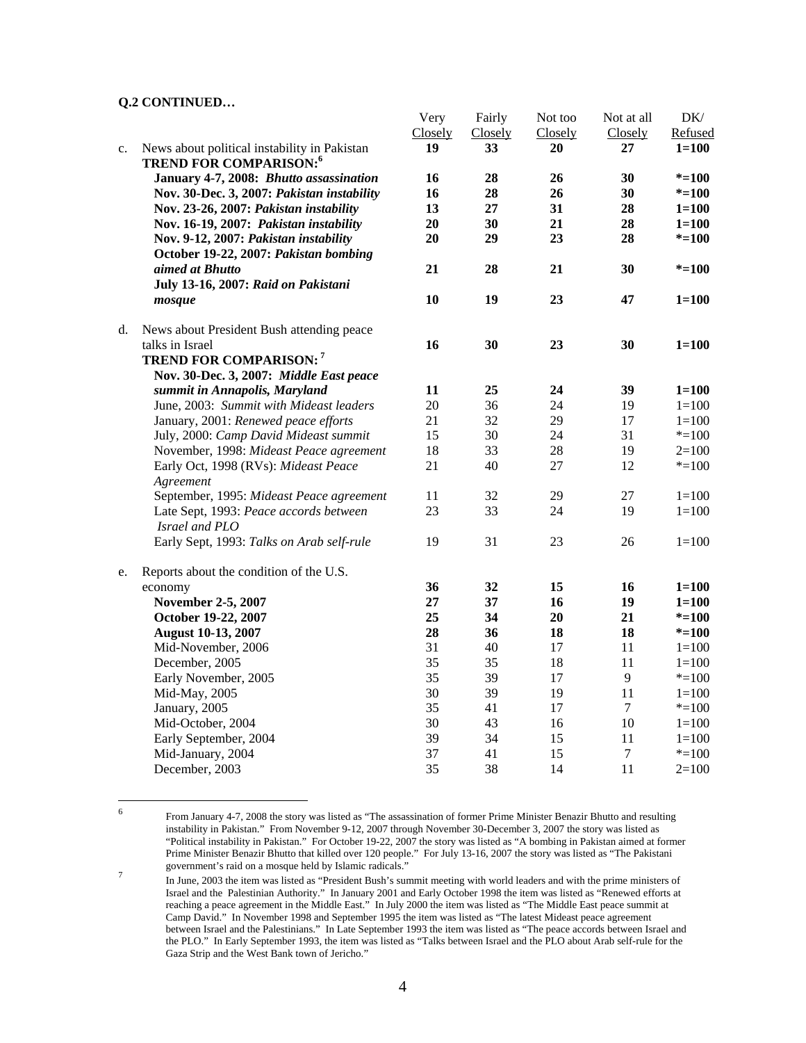|    |                                                                                | Very    | Fairly  | Not too | Not at all     | DK/       |
|----|--------------------------------------------------------------------------------|---------|---------|---------|----------------|-----------|
|    |                                                                                | Closely | Closely | Closely | Closely        | Refused   |
| c. | News about political instability in Pakistan<br><b>TREND FOR COMPARISON:</b> 6 | 19      | 33      | 20      | 27             | $1 = 100$ |
|    | January 4-7, 2008: Bhutto assassination                                        | 16      | 28      | 26      | 30             | $* = 100$ |
|    | Nov. 30-Dec. 3, 2007: Pakistan instability                                     | 16      | 28      | 26      | 30             | $* = 100$ |
|    | Nov. 23-26, 2007: Pakistan instability                                         | 13      | 27      | 31      | 28             | $1 = 100$ |
|    | Nov. 16-19, 2007: Pakistan instability                                         | 20      | 30      | 21      | 28             | $1 = 100$ |
|    | Nov. 9-12, 2007: Pakistan instability<br>October 19-22, 2007: Pakistan bombing | 20      | 29      | 23      | 28             | $* = 100$ |
|    | aimed at Bhutto<br>July 13-16, 2007: Raid on Pakistani                         | 21      | 28      | 21      | 30             | $* = 100$ |
|    | mosque                                                                         | 10      | 19      | 23      | 47             | $1 = 100$ |
| d. | News about President Bush attending peace                                      |         |         |         |                |           |
|    | talks in Israel                                                                | 16      | 30      | 23      | 30             | $1 = 100$ |
|    | <b>TREND FOR COMPARISON:</b> 7                                                 |         |         |         |                |           |
|    | Nov. 30-Dec. 3, 2007: Middle East peace                                        |         |         |         |                |           |
|    | summit in Annapolis, Maryland                                                  | 11      | 25      | 24      | 39             | $1 = 100$ |
|    | June, 2003: Summit with Mideast leaders                                        | 20      | 36      | 24      | 19             | $1 = 100$ |
|    | January, 2001: Renewed peace efforts                                           | 21      | 32      | 29      | 17             | $1 = 100$ |
|    | July, 2000: Camp David Mideast summit                                          | 15      | 30      | 24      | 31             | $*=100$   |
|    | November, 1998: Mideast Peace agreement                                        | 18      | 33      | 28      | 19             | $2=100$   |
|    | Early Oct, 1998 (RVs): Mideast Peace                                           | 21      | 40      | 27      | 12             | $* = 100$ |
|    | Agreement                                                                      |         |         |         |                |           |
|    | September, 1995: Mideast Peace agreement                                       | 11      | 32      | 29      | 27             | $1 = 100$ |
|    | Late Sept, 1993: Peace accords between                                         | 23      | 33      | 24      | 19             | $1 = 100$ |
|    | Israel and PLO                                                                 |         |         |         |                |           |
|    | Early Sept, 1993: Talks on Arab self-rule                                      | 19      | 31      | 23      | 26             | $1 = 100$ |
| e. | Reports about the condition of the U.S.                                        |         |         |         |                |           |
|    | economy                                                                        | 36      | 32      | 15      | 16             | $1 = 100$ |
|    | November 2-5, 2007                                                             | 27      | 37      | 16      | 19             | $1 = 100$ |
|    | October 19-22, 2007                                                            | 25      | 34      | 20      | 21             | $* = 100$ |
|    | <b>August 10-13, 2007</b>                                                      | 28      | 36      | 18      | 18             | $* = 100$ |
|    | Mid-November, 2006                                                             | 31      | 40      | 17      | 11             | $1 = 100$ |
|    | December, 2005                                                                 | 35      | 35      | 18      | 11             | $1 = 100$ |
|    | Early November, 2005                                                           | 35      | 39      | 17      | $\overline{9}$ | $* = 100$ |
|    | Mid-May, 2005                                                                  | 30      | 39      | 19      | 11             | $1 = 100$ |
|    | January, 2005                                                                  | 35      | 41      | 17      | $\tau$         | $* = 100$ |
|    | Mid-October, 2004                                                              | 30      | 43      | 16      | 10             | $1 = 100$ |
|    | Early September, 2004                                                          | 39      | 34      | 15      | 11             | $1 = 100$ |
|    | Mid-January, 2004                                                              | 37      | 41      | 15      | $\tau$         | $* = 100$ |
|    | December, 2003                                                                 | 35      | 38      | 14      | 11             | $2=100$   |

 $\frac{1}{6}$ 

From January 4-7, 2008 the story was listed as "The assassination of former Prime Minister Benazir Bhutto and resulting instability in Pakistan." From November 9-12, 2007 through November 30-December 3, 2007 the story was listed as "Political instability in Pakistan." For October 19-22, 2007 the story was listed as "A bombing in Pakistan aimed at former Prime Minister Benazir Bhutto that killed over 120 people." For July 13-16, 2007 the story was listed as "The Pakistani government's raid on a mosque held by Islamic radicals." <sup>7</sup>

In June, 2003 the item was listed as "President Bush's summit meeting with world leaders and with the prime ministers of Israel and the Palestinian Authority." In January 2001 and Early October 1998 the item was listed as "Renewed efforts at reaching a peace agreement in the Middle East." In July 2000 the item was listed as "The Middle East peace summit at Camp David." In November 1998 and September 1995 the item was listed as "The latest Mideast peace agreement between Israel and the Palestinians." In Late September 1993 the item was listed as "The peace accords between Israel and the PLO." In Early September 1993, the item was listed as "Talks between Israel and the PLO about Arab self-rule for the Gaza Strip and the West Bank town of Jericho."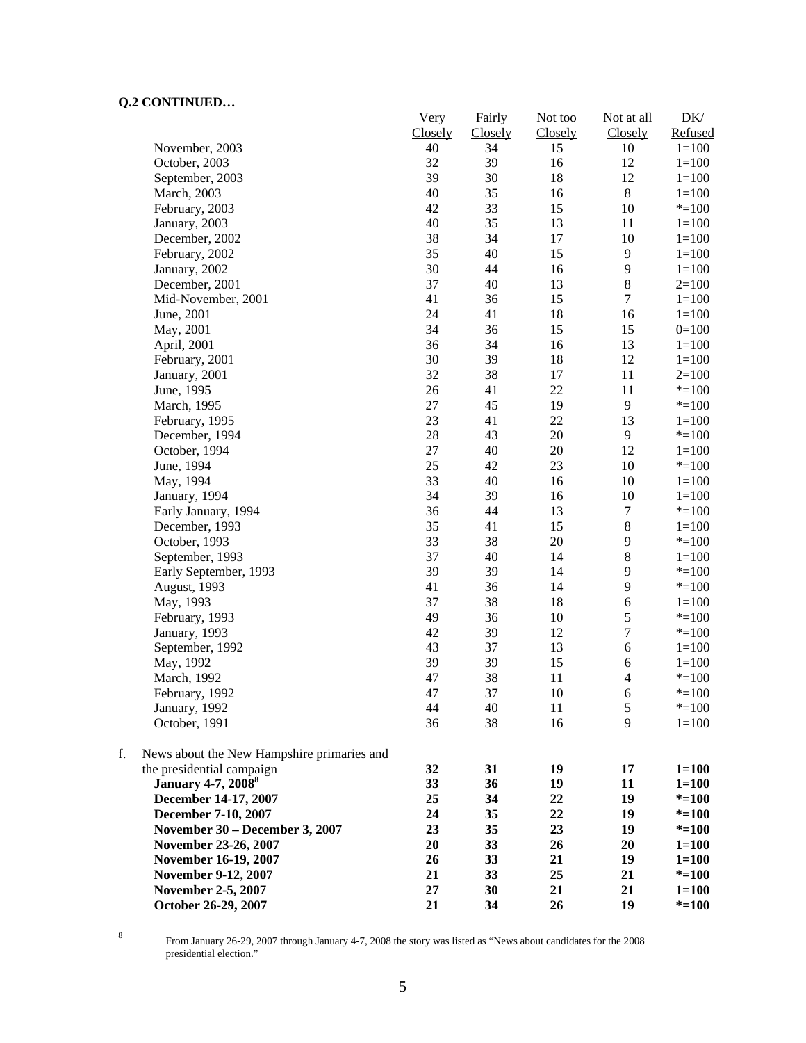| 0.1111101                                        | Very          | Fairly        | Not too       | Not at all     | DK/                  |
|--------------------------------------------------|---------------|---------------|---------------|----------------|----------------------|
| November, 2003                                   | Closely<br>40 | Closely<br>34 | Closely<br>15 | Closely<br>10  | Refused<br>$1 = 100$ |
| October, 2003                                    | 32            | 39            | 16            | 12             | $1 = 100$            |
| September, 2003                                  | 39            | 30            | 18            | 12             | $1 = 100$            |
| March, 2003                                      | 40            | 35            | 16            | $\,8\,$        | $1 = 100$            |
|                                                  | 42            | 33            | 15            | 10             | $* = 100$            |
| February, 2003                                   |               | 35            |               |                |                      |
| January, 2003                                    | 40            | 34            | 13            | 11             | $1 = 100$            |
| December, 2002                                   | 38            |               | 17            | 10             | $1 = 100$            |
| February, 2002                                   | 35            | 40            | 15            | 9              | $1 = 100$            |
| January, 2002                                    | 30            | 44            | 16            | $\overline{9}$ | $1 = 100$            |
| December, 2001                                   | 37            | 40            | 13            | $\,$ 8 $\,$    | $2=100$              |
| Mid-November, 2001                               | 41            | 36            | 15            | $\overline{7}$ | $1 = 100$            |
| June, 2001                                       | 24            | 41            | 18            | 16             | $1 = 100$            |
| May, 2001                                        | 34            | 36            | 15            | 15             | $0=100$              |
| April, 2001                                      | 36            | 34            | 16            | 13             | $1 = 100$            |
| February, 2001                                   | 30            | 39            | 18            | 12             | $1 = 100$            |
| January, 2001                                    | 32            | 38            | 17            | 11             | $2=100$              |
| June, 1995                                       | 26            | 41            | 22            | 11             | $* = 100$            |
| March, 1995                                      | 27            | 45            | 19            | 9              | $* = 100$            |
| February, 1995                                   | 23            | 41            | 22            | 13             | $1 = 100$            |
| December, 1994                                   | $28\,$        | 43            | 20            | $\overline{9}$ | $* = 100$            |
| October, 1994                                    | $27\,$        | 40            | 20            | 12             | $1 = 100$            |
| June, 1994                                       | 25            | 42            | 23            | 10             | $* = 100$            |
| May, 1994                                        | 33            | 40            | 16            | 10             | $1 = 100$            |
| January, 1994                                    | 34            | 39            | 16            | 10             | $1 = 100$            |
| Early January, 1994                              | 36            | 44            | 13            | $\tau$         | $* = 100$            |
| December, 1993                                   | 35            | 41            | 15            | $\,8\,$        | $1 = 100$            |
| October, 1993                                    | 33            | 38            | 20            | $\mathbf{9}$   | $* = 100$            |
| September, 1993                                  | 37            | 40            | 14            | $\,8\,$        | $1 = 100$            |
| Early September, 1993                            | 39            | 39            | 14            | 9              | $* = 100$            |
| August, 1993                                     | 41            | 36            | 14            | $\mathbf{9}$   | $* = 100$            |
| May, 1993                                        | 37            | 38            | 18            | $\sqrt{6}$     | $1 = 100$            |
| February, 1993                                   | 49            | 36            | 10            | 5              | $* = 100$            |
| January, 1993                                    | 42            | 39            | 12            | $\overline{7}$ | $* = 100$            |
| September, 1992                                  | 43            | 37            | 13            | 6              | $1 = 100$            |
| May, 1992                                        | 39            | 39            | 15            | 6              | $1 = 100$            |
| March, 1992                                      | 47            | 38            | 11            | $\overline{4}$ | $* = 100$            |
| February, 1992                                   | 47            | 37            | 10            | 6              | $* = 100$            |
| January, 1992                                    | 44            | 40            | 11            | $\sqrt{5}$     | $* = 100$            |
| October, 1991                                    | 36            | 38            | 16            | 9              | $1 = 100$            |
| f.<br>News about the New Hampshire primaries and |               |               |               |                |                      |
| the presidential campaign                        | 32            | 31            | 19            | 17             | $1 = 100$            |
| <b>January 4-7, 2008</b> <sup>8</sup>            | 33            | 36            | 19            | 11             | $1 = 100$            |
| December 14-17, 2007                             | 25            | 34            | 22            | 19             | $* = 100$            |
| December 7-10, 2007                              | 24            | 35            | 22            | 19             | $* = 100$            |
| November 30 - December 3, 2007                   | 23            | 35            | 23            | 19             | $* = 100$            |
| November 23-26, 2007                             | 20            | 33            | 26            | 20             | $1 = 100$            |
| November 16-19, 2007                             | 26            | 33            | 21            | 19             | $1 = 100$            |
| November 9-12, 2007                              | 21            | 33            | 25            | 21             | $* = 100$            |
| <b>November 2-5, 2007</b>                        | $27\,$        | 30            | 21            | 21             | $1 = 100$            |
| October 26-29, 2007                              | 21            | 34            | 26            | 19             | $* = 100$            |

8

 From January 26-29, 2007 through January 4-7, 2008 the story was listed as "News about candidates for the 2008 presidential election."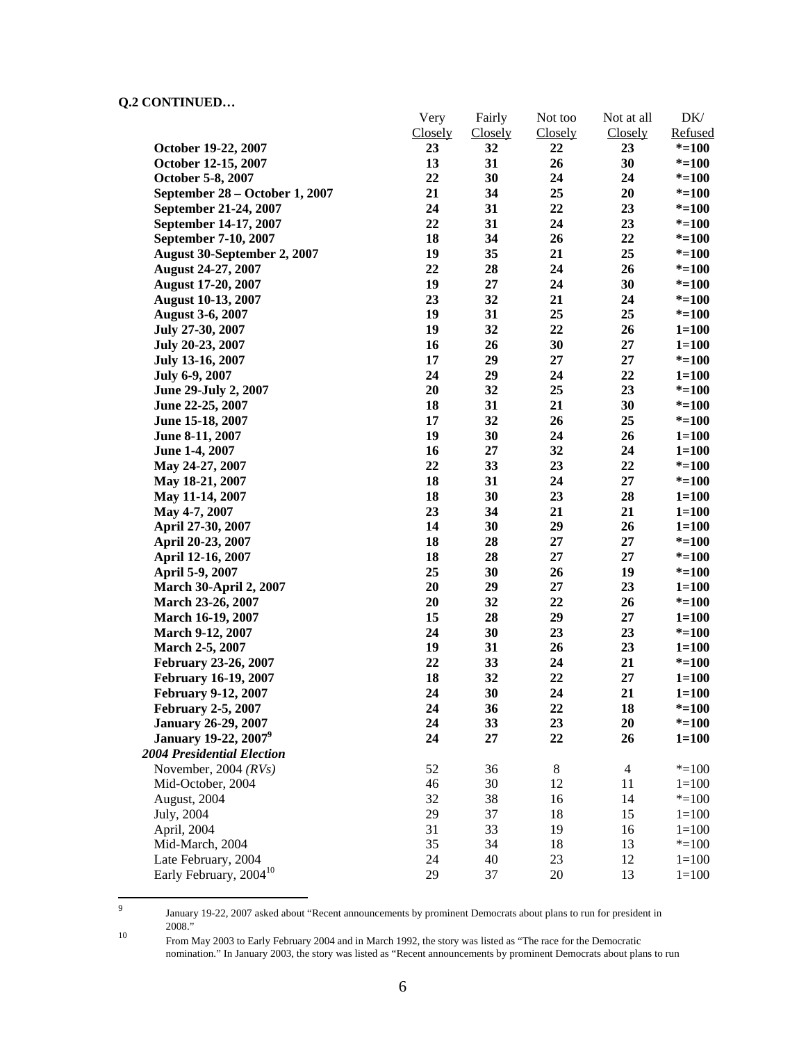-<br>9

|                                         | Very    | Fairly         | Not too | Not at all     | DK/       |
|-----------------------------------------|---------|----------------|---------|----------------|-----------|
|                                         | Closely | <b>Closely</b> | Closely | Closely        | Refused   |
| October 19-22, 2007                     | 23      | 32             | 22      | 23             | $* = 100$ |
| October 12-15, 2007                     | 13      | 31             | 26      | 30             | $* = 100$ |
| October 5-8, 2007                       | 22      | 30             | 24      | 24             | $* = 100$ |
| September 28 – October 1, 2007          | 21      | 34             | 25      | 20             | $* = 100$ |
| September 21-24, 2007                   | 24      | 31             | 22      | 23             | $* = 100$ |
| September 14-17, 2007                   | 22      | 31             | 24      | 23             | $* = 100$ |
| September 7-10, 2007                    | 18      | 34             | 26      | 22             | $* = 100$ |
| August 30-September 2, 2007             | 19      | 35             | 21      | 25             | $* = 100$ |
| <b>August 24-27, 2007</b>               | 22      | 28             | 24      | 26             | $* = 100$ |
| <b>August 17-20, 2007</b>               | 19      | 27             | 24      | 30             | $* = 100$ |
| <b>August 10-13, 2007</b>               | 23      | 32             | 21      | 24             | $* = 100$ |
| <b>August 3-6, 2007</b>                 | 19      | 31             | 25      | 25             | $* = 100$ |
| July 27-30, 2007                        | 19      | 32             | 22      | 26             | $1 = 100$ |
| July 20-23, 2007                        | 16      | 26             | 30      | 27             | $1 = 100$ |
| July 13-16, 2007                        | 17      | 29             | 27      | 27             | $* = 100$ |
| July 6-9, 2007                          | 24      | 29             | 24      | 22             | $1 = 100$ |
| June 29-July 2, 2007                    | 20      | 32             | 25      | 23             | $* = 100$ |
| June 22-25, 2007                        | 18      | 31             | 21      | 30             | $* = 100$ |
| June 15-18, 2007                        | 17      | 32             | 26      | 25             | $* = 100$ |
| June 8-11, 2007                         | 19      | 30             | 24      | 26             | $1 = 100$ |
| June 1-4, 2007                          | 16      | 27             | 32      | 24             | $1 = 100$ |
| May 24-27, 2007                         | 22      | 33             | 23      | 22             | $* = 100$ |
| May 18-21, 2007                         | 18      | 31             | 24      | 27             | $* = 100$ |
| May 11-14, 2007                         | 18      | 30             | 23      | 28             | $1 = 100$ |
| May 4-7, 2007                           | 23      | 34             | 21      | 21             | $1 = 100$ |
| April 27-30, 2007                       | 14      | 30             | 29      | 26             | $1 = 100$ |
| April 20-23, 2007                       | 18      | 28             | 27      | 27             | $* = 100$ |
| April 12-16, 2007                       | 18      | 28             | $27\,$  | 27             | $* = 100$ |
| April 5-9, 2007                         | 25      | 30             | 26      | 19             | $* = 100$ |
| <b>March 30-April 2, 2007</b>           | 20      | 29             | 27      | 23             | $1 = 100$ |
| March 23-26, 2007                       | 20      | 32             | 22      | 26             | $* = 100$ |
| <b>March 16-19, 2007</b>                | 15      | 28             | 29      | 27             | $1 = 100$ |
| March 9-12, 2007                        | 24      | 30             | 23      | 23             | $* = 100$ |
| March 2-5, 2007                         | 19      | 31             | 26      | 23             | $1 = 100$ |
| <b>February 23-26, 2007</b>             | 22      | 33             | 24      | 21             | $* = 100$ |
| <b>February 16-19, 2007</b>             | 18      | 32             | 22      | 27             | $1 = 100$ |
| <b>February 9-12, 2007</b>              | 24      | 30             | 24      | 21             | $1 = 100$ |
| <b>February 2-5, 2007</b>               | 24      | 36             | 22      | 18             | $* = 100$ |
| <b>January 26-29, 2007</b>              | 24      | 33             | 23      | 20             | $* = 100$ |
| <b>January 19-22, 2007</b> <sup>9</sup> | 24      | 27             | 22      | 26             | $1 = 100$ |
| 2004 Presidential Election              |         |                |         |                |           |
| November, 2004 $(RVs)$                  | 52      | 36             | $\,8$   | $\overline{4}$ | $* = 100$ |
| Mid-October, 2004                       | 46      | 30             | 12      | 11             | $1 = 100$ |
| August, 2004                            | 32      | 38             | 16      | 14             | $* = 100$ |
| July, 2004                              | 29      | 37             | 18      | 15             | $1 = 100$ |
| April, 2004                             | 31      | 33             | 19      | 16             | $1 = 100$ |
| Mid-March, 2004                         | 35      | 34             | 18      | 13             | $* = 100$ |
| Late February, 2004                     | 24      | 40             | 23      | 12             | $1 = 100$ |
| Early February, 2004 <sup>10</sup>      | 29      | 37             | $20\,$  | 13             | $1 = 100$ |
|                                         |         |                |         |                |           |

January 19-22, 2007 asked about "Recent announcements by prominent Democrats about plans to run for president in

<sup>&</sup>lt;sup>10</sup> From May 2003 to Early February 2004 and in March 1992, the story was listed as "The race for the Democratic nomination." In January 2003, the story was listed as "Recent announcements by prominent Democrats about plans to run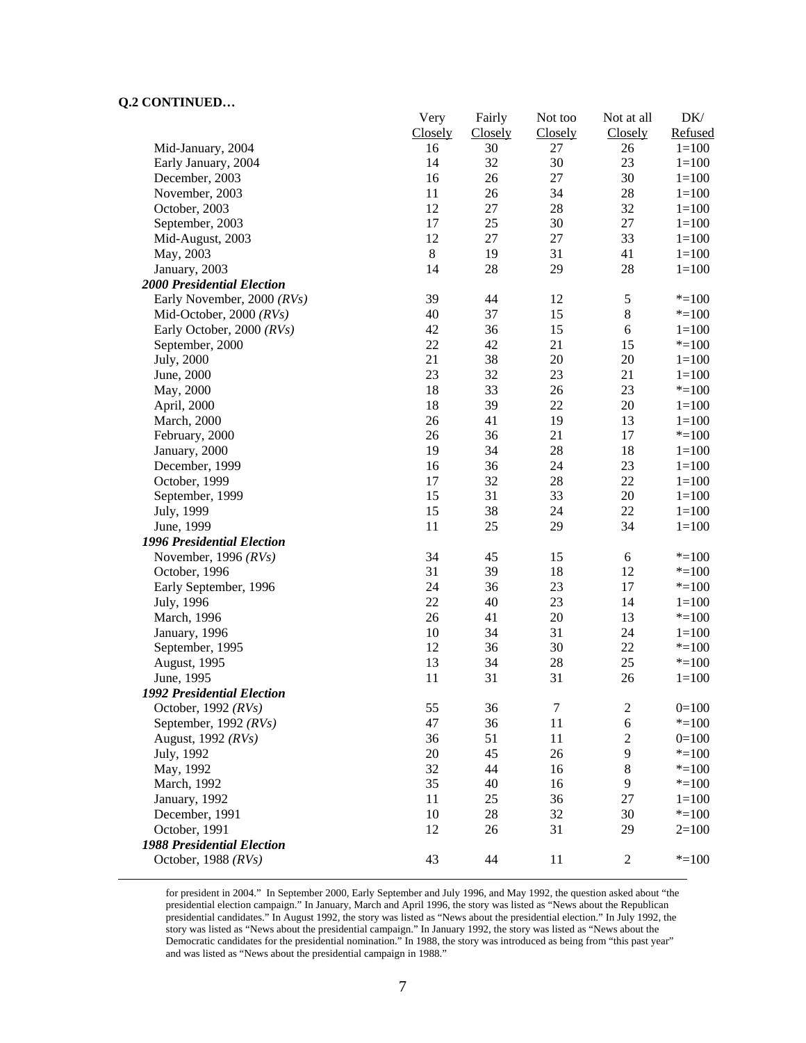|                                   | Very    | Fairly         | Not too  | Not at all       | DK/                    |
|-----------------------------------|---------|----------------|----------|------------------|------------------------|
|                                   | Closely | <b>Closely</b> | Closely  | Closely          | Refused                |
| Mid-January, 2004                 | 16      | 30             | 27       | 26               | $1 = 100$              |
| Early January, 2004               | 14      | 32             | 30       | 23               | $1 = 100$              |
| December, 2003                    | 16      | 26             | 27       | 30               | $1 = 100$              |
| November, 2003                    | 11      | 26             | 34       | 28               | $1 = 100$              |
| October, 2003                     | 12      | $27\,$         | 28       | 32               | $1 = 100$              |
| September, 2003                   | 17      | 25             | 30       | $27\,$           | $1 = 100$              |
| Mid-August, 2003                  | 12      | $27\,$         | $27\,$   | 33               | $1 = 100$              |
| May, 2003                         | $\,8\,$ | 19             | 31       | 41               | $1 = 100$              |
| January, 2003                     | 14      | 28             | 29       | 28               | $1 = 100$              |
| <b>2000 Presidential Election</b> |         |                |          |                  |                        |
| Early November, 2000 (RVs)        | 39      | 44             | 12       | $\sqrt{5}$       | $* = 100$              |
| Mid-October, 2000 $(RVs)$         | 40      | 37             | 15       | $\,8\,$          | $* = 100$              |
| Early October, 2000 (RVs)         | 42      | 36             | 15       | $\sqrt{6}$       | $1 = 100$              |
| September, 2000                   | 22      | 42             | 21       | 15               | $* = 100$              |
| July, 2000                        | 21      | 38             | 20       | 20               | $1 = 100$              |
| June, 2000                        | 23      | 32             | 23       | 21               | $1 = 100$              |
| May, 2000                         | 18      | 33             | 26       | 23               | $* = 100$              |
| April, 2000                       | 18      | 39             | 22       | 20               | $1 = 100$              |
| March, 2000                       | 26      | 41             | 19       | 13               | $1 = 100$              |
| February, 2000                    | 26      | 36             | 21       | 17               | $* = 100$              |
| January, 2000                     | 19      | 34             | 28       | 18               | $1 = 100$              |
| December, 1999                    | 16      | 36             | 24       | 23               | $1 = 100$              |
| October, 1999                     | 17      | 32             | 28       | $22\,$           | $1=100$                |
| September, 1999                   | 15      | 31             | 33       | $20\,$           | $1=100$                |
| July, 1999                        | 15      | 38             | 24       | 22               | $1=100$                |
| June, 1999                        | 11      | 25             | 29       | 34               | $1 = 100$              |
| 1996 Presidential Election        |         |                |          |                  |                        |
| November, 1996 $(RVs)$            | 34      | 45             | 15       | 6                | $* = 100$              |
| October, 1996                     | 31      | 39             | 18       | 12               | $* = 100$              |
| Early September, 1996             | 24      | 36             | 23       | 17               | $* = 100$              |
| July, 1996                        | 22      | 40             | 23       | 14               | $1=100$                |
| March, 1996                       | 26      | 41             | 20       | 13               | $* = 100$              |
|                                   | 10      | 34             | 31       | 24               |                        |
| January, 1996                     | 12      | 36             | 30       | $22\,$           | $1 = 100$<br>$* = 100$ |
| September, 1995                   | 13      | 34             |          | 25               | $* = 100$              |
| August, 1995                      | 11      | 31             | 28<br>31 | 26               |                        |
| June, 1995                        |         |                |          |                  | $1 = 100$              |
| <b>1992 Presidential Election</b> |         |                |          |                  |                        |
| October, 1992 $(RVs)$             | 55      | 36             | $\tau$   | $\mathfrak{2}$   | $0=100$                |
| September, 1992 (RVs)             | 47      | 36             | 11       | $\sqrt{6}$       | $* = 100$              |
| August, 1992 (RVs)                | 36      | 51             | 11       | $\boldsymbol{2}$ | $0=100$                |
| July, 1992                        | 20      | 45             | 26       | 9                | $* = 100$              |
| May, 1992                         | 32      | 44             | 16       | $\,8\,$          | $* = 100$              |
| March, 1992                       | 35      | 40             | 16       | 9                | $* = 100$              |
| January, 1992                     | 11      | 25             | 36       | 27               | $1 = 100$              |
| December, 1991                    | 10      | $28\,$         | 32       | 30               | $* = 100$              |
| October, 1991                     | 12      | 26             | 31       | 29               | $2=100$                |
| <b>1988 Presidential Election</b> |         |                |          |                  |                        |
| October, 1988 $(RVs)$             | 43      | 44             | 11       | $\mathfrak{2}$   | $* = 100$              |

 for president in 2004." In September 2000, Early September and July 1996, and May 1992, the question asked about "the presidential election campaign." In January, March and April 1996, the story was listed as "News about the Republican presidential candidates." In August 1992, the story was listed as "News about the presidential election." In July 1992, the story was listed as "News about the presidential campaign." In January 1992, the story was listed as "News about the Democratic candidates for the presidential nomination." In 1988, the story was introduced as being from "this past year" and was listed as "News about the presidential campaign in 1988."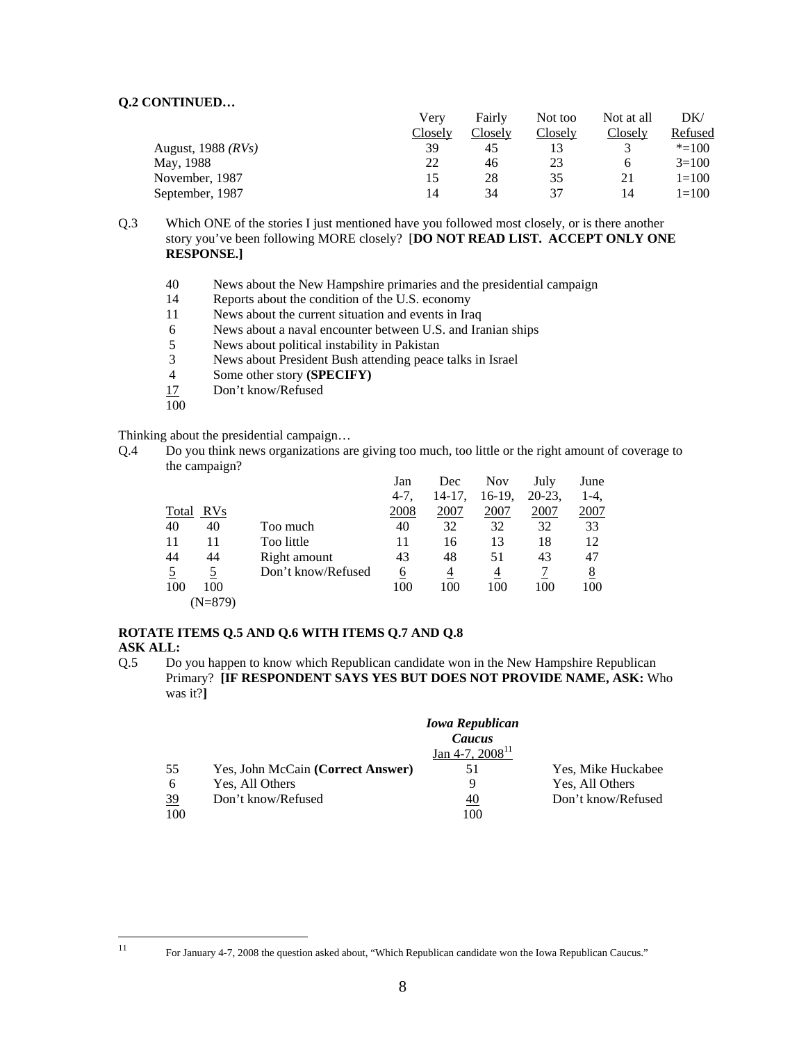|                      | Very    | Fairly  | Not too | Not at all | DK        |
|----------------------|---------|---------|---------|------------|-----------|
|                      | Closely | Closely | Closely | Closely    | Refused   |
| August, 1988 $(RVs)$ | 39      |         |         |            | $* = 100$ |
| May, 1988            | 22      | 46      | 23      |            | $3=100$   |
| November, 1987       | 15      | 28      | 35      | 21         | $1 = 100$ |
| September, 1987      | 14      | 34      | 37      | 14         | $1 = 100$ |

Q.3 Which ONE of the stories I just mentioned have you followed most closely, or is there another story you've been following MORE closely? [**DO NOT READ LIST. ACCEPT ONLY ONE RESPONSE.]** 

- 40 News about the New Hampshire primaries and the presidential campaign
- 14 Reports about the condition of the U.S. economy
- 11 News about the current situation and events in Iraq
- 6 News about a naval encounter between U.S. and Iranian ships
- 5 News about political instability in Pakistan
- 3 News about President Bush attending peace talks in Israel
- 4 Some other story **(SPECIFY)**
- 17 Don't know/Refused

100

Thinking about the presidential campaign…

Q.4 Do you think news organizations are giving too much, too little or the right amount of coverage to the campaign?

|           |                    | Jan      | Dec    | <b>Nov</b> | July     | June        |
|-----------|--------------------|----------|--------|------------|----------|-------------|
|           |                    | $4-7,$   | 14-17. | 16-19,     | $20-23.$ | $1-4.$      |
| Total RVs |                    | 2008     | 2007   | 2007       | 2007     | <u>2007</u> |
| 40        | 40<br>Too much     | 40       | 32     | 32         | 32       | 33          |
| 11        | Too little<br>11   | 11       | 16     | 13         | 18       | 12          |
| 44        | 44<br>Right amount | 43       | 48     | 51         | 43       | 47          |
|           | Don't know/Refused | <u>6</u> | 4      | 4          |          | <u>8</u>    |
| 100       | 100                | 100      | 100    | 100        | 100      | 100         |
|           | (N=879)            |          |        |            |          |             |

# **ROTATE ITEMS Q.5 AND Q.6 WITH ITEMS Q.7 AND Q.8**

## **ASK ALL:**

Q.5 Do you happen to know which Republican candidate won in the New Hampshire Republican Primary? **[IF RESPONDENT SAYS YES BUT DOES NOT PROVIDE NAME, ASK:** Who was it?**]**

|     |                                   | <b>Iowa Republican</b> |                    |
|-----|-----------------------------------|------------------------|--------------------|
|     |                                   | Caucus                 |                    |
|     |                                   | Jan 4-7, $2008^{11}$   |                    |
| 55  | Yes, John McCain (Correct Answer) | 51                     | Yes, Mike Huckabee |
| 6   | Yes, All Others                   | 9                      | Yes, All Others    |
| 39  | Don't know/Refused                | <u>40</u>              | Don't know/Refused |
| 100 |                                   | 100                    |                    |

 $11$ 

<sup>11</sup> For January 4-7, 2008 the question asked about, "Which Republican candidate won the Iowa Republican Caucus."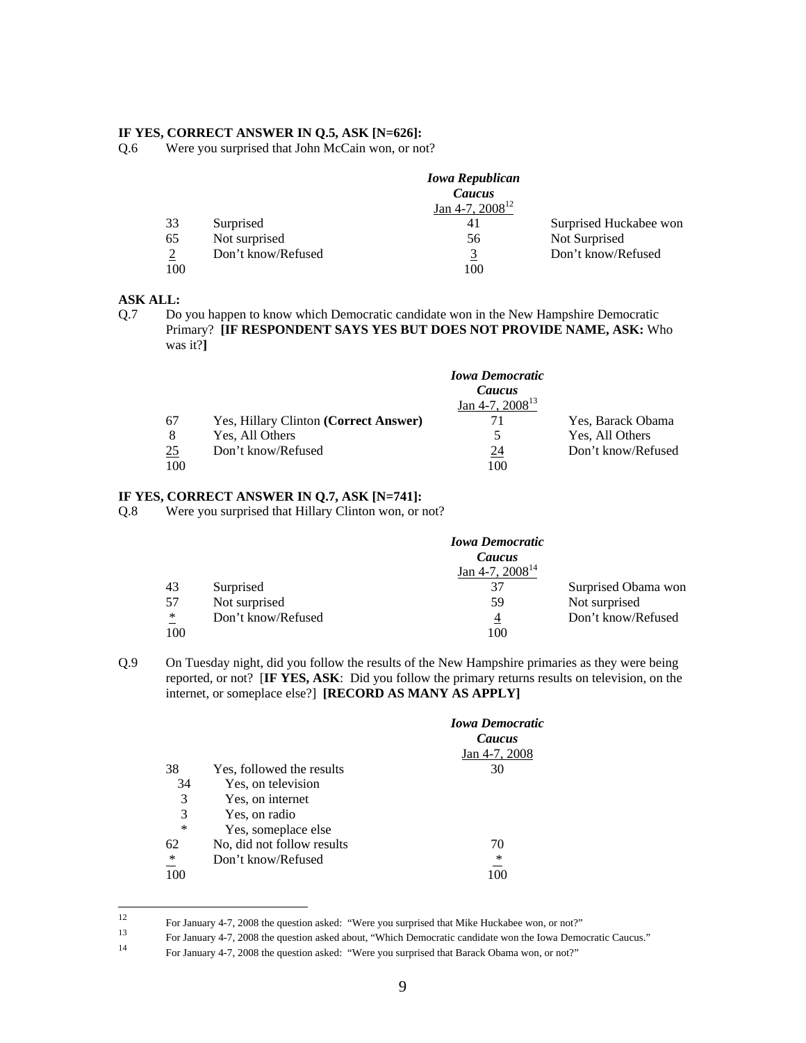#### **IF YES, CORRECT ANSWER IN Q.5, ASK [N=626]:**

Q.6 Were you surprised that John McCain won, or not?

|                |                    | <b>Iowa Republican</b> |                        |
|----------------|--------------------|------------------------|------------------------|
|                |                    | Caucus                 |                        |
|                |                    | Jan 4-7, $2008^{12}$   |                        |
| 33             | Surprised          | 41                     | Surprised Huckabee won |
| 65             | Not surprised      | 56                     | Not Surprised          |
| $\overline{2}$ | Don't know/Refused | <u>3</u>               | Don't know/Refused     |
| 100            |                    | 100                    |                        |

### **ASK ALL:**

Q.7 Do you happen to know which Democratic candidate won in the New Hampshire Democratic Primary? **[IF RESPONDENT SAYS YES BUT DOES NOT PROVIDE NAME, ASK:** Who was it?**]**

|     |                                       | <b>Iowa Democratic</b><br>Caucus |                    |
|-----|---------------------------------------|----------------------------------|--------------------|
|     |                                       | Jan 4-7, $2008^{13}$             |                    |
| 67  | Yes, Hillary Clinton (Correct Answer) | 71                               | Yes, Barack Obama  |
| 8   | Yes, All Others                       |                                  | Yes, All Others    |
| 25  | Don't know/Refused                    | 24                               | Don't know/Refused |
| 100 |                                       | 100                              |                    |

#### **IF YES, CORRECT ANSWER IN Q.7, ASK [N=741]:**

Q.8 Were you surprised that Hillary Clinton won, or not?

|                         | <b>Iowa Democratic</b> |                     |
|-------------------------|------------------------|---------------------|
|                         | Caucus                 |                     |
|                         | Jan 4-7, $2008^{14}$   |                     |
| 43<br>Surprised         | 37                     | Surprised Obama won |
| Not surprised<br>57     | 59                     | Not surprised       |
| ∗<br>Don't know/Refused | 4                      | Don't know/Refused  |
| 100                     | 100                    |                     |

Q.9 On Tuesday night, did you follow the results of the New Hampshire primaries as they were being reported, or not? [**IF YES, ASK**: Did you follow the primary returns results on television, on the internet, or someplace else?] **[RECORD AS MANY AS APPLY]**

|        |                            | <b>Iowa Democratic</b><br>Caucus |
|--------|----------------------------|----------------------------------|
|        |                            | Jan 4-7, 2008                    |
| 38     | Yes, followed the results  | 30                               |
| 34     | Yes, on television         |                                  |
| 3      | Yes, on internet           |                                  |
| 3      | Yes, on radio              |                                  |
| $\ast$ | Yes, someplace else        |                                  |
| 62     | No, did not follow results | 70                               |
| ∗      | Don't know/Refused         | ∗                                |
| 100    |                            |                                  |

 $12$ 

For January 4-7, 2008 the question asked: "Were you surprised that Mike Huckabee won, or not?"<br>For January 4-7, 2008 the question asked about, "Which Democratic candidate won the Iowa Democratic Caucus."<br>For January 4-7, 2